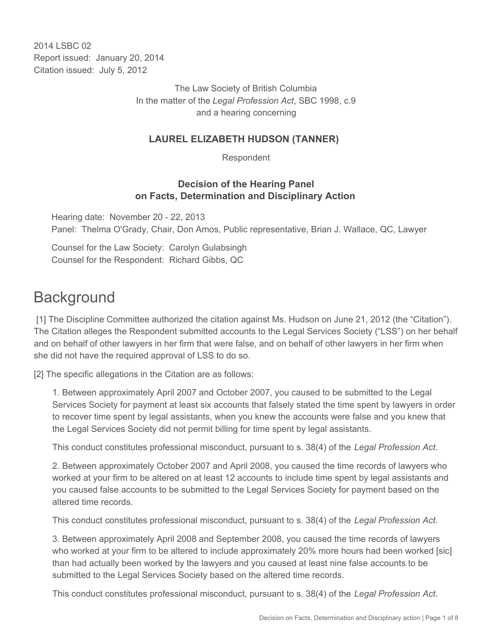2014 LSBC 02 Report issued: January 20, 2014 Citation issued: July 5, 2012

> The Law Society of British Columbia In the matter of the *Legal Profession Act*, SBC 1998, c.9 and a hearing concerning

#### **LAUREL ELIZABETH HUDSON (TANNER)**

Respondent

#### **Decision of the Hearing Panel on Facts, Determination and Disciplinary Action**

Hearing date: November 20 - 22, 2013 Panel: Thelma O'Grady, Chair, Don Amos, Public representative, Brian J. Wallace, QC, Lawyer

Counsel for the Law Society: Carolyn Gulabsingh Counsel for the Respondent: Richard Gibbs, QC

## **Background**

 [1] The Discipline Committee authorized the citation against Ms. Hudson on June 21, 2012 (the "Citation"). The Citation alleges the Respondent submitted accounts to the Legal Services Society ("LSS") on her behalf and on behalf of other lawyers in her firm that were false, and on behalf of other lawyers in her firm when she did not have the required approval of LSS to do so.

[2] The specific allegations in the Citation are as follows:

1. Between approximately April 2007 and October 2007, you caused to be submitted to the Legal Services Society for payment at least six accounts that falsely stated the time spent by lawyers in order to recover time spent by legal assistants, when you knew the accounts were false and you knew that the Legal Services Society did not permit billing for time spent by legal assistants.

This conduct constitutes professional misconduct, pursuant to s. 38(4) of the *Legal Profession Act*.

2. Between approximately October 2007 and April 2008, you caused the time records of lawyers who worked at your firm to be altered on at least 12 accounts to include time spent by legal assistants and you caused false accounts to be submitted to the Legal Services Society for payment based on the altered time records.

This conduct constitutes professional misconduct, pursuant to s. 38(4) of the *Legal Profession Act*.

3. Between approximately April 2008 and September 2008, you caused the time records of lawyers who worked at your firm to be altered to include approximately 20% more hours had been worked [sic] than had actually been worked by the lawyers and you caused at least nine false accounts to be submitted to the Legal Services Society based on the altered time records.

This conduct constitutes professional misconduct, pursuant to s. 38(4) of the *Legal Profession Act*.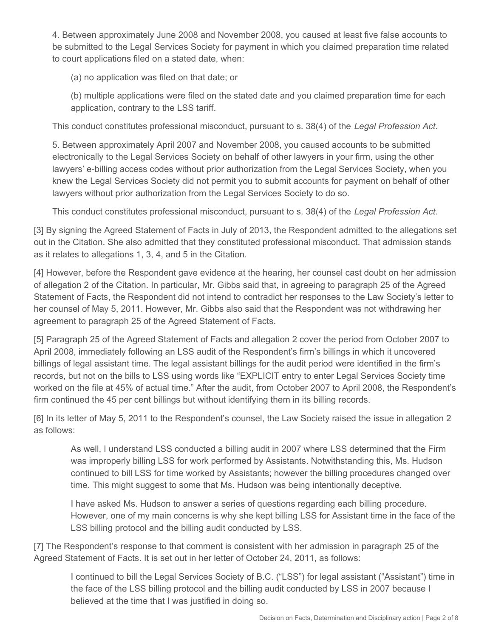4. Between approximately June 2008 and November 2008, you caused at least five false accounts to be submitted to the Legal Services Society for payment in which you claimed preparation time related to court applications filed on a stated date, when:

(a) no application was filed on that date; or

(b) multiple applications were filed on the stated date and you claimed preparation time for each application, contrary to the LSS tariff.

This conduct constitutes professional misconduct, pursuant to s. 38(4) of the *Legal Profession Act*.

5. Between approximately April 2007 and November 2008, you caused accounts to be submitted electronically to the Legal Services Society on behalf of other lawyers in your firm, using the other lawyers' e-billing access codes without prior authorization from the Legal Services Society, when you knew the Legal Services Society did not permit you to submit accounts for payment on behalf of other lawyers without prior authorization from the Legal Services Society to do so.

This conduct constitutes professional misconduct, pursuant to s. 38(4) of the *Legal Profession Act*.

[3] By signing the Agreed Statement of Facts in July of 2013, the Respondent admitted to the allegations set out in the Citation. She also admitted that they constituted professional misconduct. That admission stands as it relates to allegations 1, 3, 4, and 5 in the Citation.

[4] However, before the Respondent gave evidence at the hearing, her counsel cast doubt on her admission of allegation 2 of the Citation. In particular, Mr. Gibbs said that, in agreeing to paragraph 25 of the Agreed Statement of Facts, the Respondent did not intend to contradict her responses to the Law Society's letter to her counsel of May 5, 2011. However, Mr. Gibbs also said that the Respondent was not withdrawing her agreement to paragraph 25 of the Agreed Statement of Facts.

[5] Paragraph 25 of the Agreed Statement of Facts and allegation 2 cover the period from October 2007 to April 2008, immediately following an LSS audit of the Respondent's firm's billings in which it uncovered billings of legal assistant time. The legal assistant billings for the audit period were identified in the firm's records, but not on the bills to LSS using words like "EXPLICIT entry to enter Legal Services Society time worked on the file at 45% of actual time." After the audit, from October 2007 to April 2008, the Respondent's firm continued the 45 per cent billings but without identifying them in its billing records.

[6] In its letter of May 5, 2011 to the Respondent's counsel, the Law Society raised the issue in allegation 2 as follows:

As well, I understand LSS conducted a billing audit in 2007 where LSS determined that the Firm was improperly billing LSS for work performed by Assistants. Notwithstanding this, Ms. Hudson continued to bill LSS for time worked by Assistants; however the billing procedures changed over time. This might suggest to some that Ms. Hudson was being intentionally deceptive.

I have asked Ms. Hudson to answer a series of questions regarding each billing procedure. However, one of my main concerns is why she kept billing LSS for Assistant time in the face of the LSS billing protocol and the billing audit conducted by LSS.

[7] The Respondent's response to that comment is consistent with her admission in paragraph 25 of the Agreed Statement of Facts. It is set out in her letter of October 24, 2011, as follows:

I continued to bill the Legal Services Society of B.C. ("LSS") for legal assistant ("Assistant") time in the face of the LSS billing protocol and the billing audit conducted by LSS in 2007 because I believed at the time that I was justified in doing so.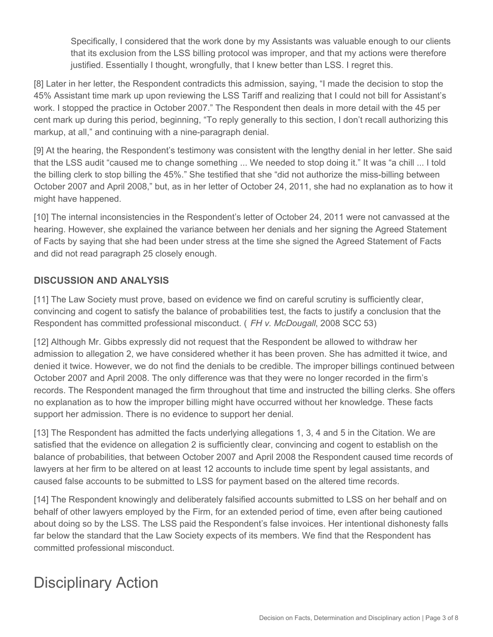Specifically, I considered that the work done by my Assistants was valuable enough to our clients that its exclusion from the LSS billing protocol was improper, and that my actions were therefore justified. Essentially I thought, wrongfully, that I knew better than LSS. I regret this.

[8] Later in her letter, the Respondent contradicts this admission, saying, "I made the decision to stop the 45% Assistant time mark up upon reviewing the LSS Tariff and realizing that I could not bill for Assistant's work. I stopped the practice in October 2007." The Respondent then deals in more detail with the 45 per cent mark up during this period, beginning, "To reply generally to this section, I don't recall authorizing this markup, at all," and continuing with a nine-paragraph denial.

[9] At the hearing, the Respondent's testimony was consistent with the lengthy denial in her letter. She said that the LSS audit "caused me to change something ... We needed to stop doing it." It was "a chill ... I told the billing clerk to stop billing the 45%." She testified that she "did not authorize the miss-billing between October 2007 and April 2008," but, as in her letter of October 24, 2011, she had no explanation as to how it might have happened.

[10] The internal inconsistencies in the Respondent's letter of October 24, 2011 were not canvassed at the hearing. However, she explained the variance between her denials and her signing the Agreed Statement of Facts by saying that she had been under stress at the time she signed the Agreed Statement of Facts and did not read paragraph 25 closely enough.

#### **DISCUSSION AND ANALYSIS**

[11] The Law Society must prove, based on evidence we find on careful scrutiny is sufficiently clear, convincing and cogent to satisfy the balance of probabilities test, the facts to justify a conclusion that the Respondent has committed professional misconduct. ( *FH v. McDougall*, 2008 SCC 53)

[12] Although Mr. Gibbs expressly did not request that the Respondent be allowed to withdraw her admission to allegation 2, we have considered whether it has been proven. She has admitted it twice, and denied it twice. However, we do not find the denials to be credible. The improper billings continued between October 2007 and April 2008. The only difference was that they were no longer recorded in the firm's records. The Respondent managed the firm throughout that time and instructed the billing clerks. She offers no explanation as to how the improper billing might have occurred without her knowledge. These facts support her admission. There is no evidence to support her denial.

[13] The Respondent has admitted the facts underlying allegations 1, 3, 4 and 5 in the Citation. We are satisfied that the evidence on allegation 2 is sufficiently clear, convincing and cogent to establish on the balance of probabilities, that between October 2007 and April 2008 the Respondent caused time records of lawyers at her firm to be altered on at least 12 accounts to include time spent by legal assistants, and caused false accounts to be submitted to LSS for payment based on the altered time records.

[14] The Respondent knowingly and deliberately falsified accounts submitted to LSS on her behalf and on behalf of other lawyers employed by the Firm, for an extended period of time, even after being cautioned about doing so by the LSS. The LSS paid the Respondent's false invoices. Her intentional dishonesty falls far below the standard that the Law Society expects of its members. We find that the Respondent has committed professional misconduct.

# Disciplinary Action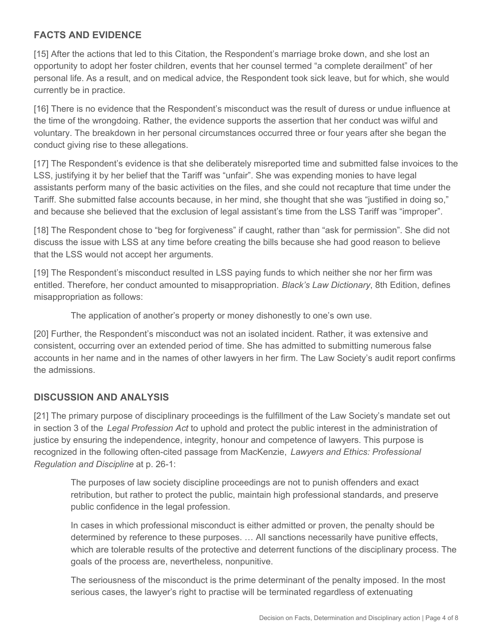## **FACTS AND EVIDENCE**

[15] After the actions that led to this Citation, the Respondent's marriage broke down, and she lost an opportunity to adopt her foster children, events that her counsel termed "a complete derailment" of her personal life. As a result, and on medical advice, the Respondent took sick leave, but for which, she would currently be in practice.

[16] There is no evidence that the Respondent's misconduct was the result of duress or undue influence at the time of the wrongdoing. Rather, the evidence supports the assertion that her conduct was wilful and voluntary. The breakdown in her personal circumstances occurred three or four years after she began the conduct giving rise to these allegations.

[17] The Respondent's evidence is that she deliberately misreported time and submitted false invoices to the LSS, justifying it by her belief that the Tariff was "unfair". She was expending monies to have legal assistants perform many of the basic activities on the files, and she could not recapture that time under the Tariff. She submitted false accounts because, in her mind, she thought that she was "justified in doing so," and because she believed that the exclusion of legal assistant's time from the LSS Tariff was "improper".

[18] The Respondent chose to "beg for forgiveness" if caught, rather than "ask for permission". She did not discuss the issue with LSS at any time before creating the bills because she had good reason to believe that the LSS would not accept her arguments.

[19] The Respondent's misconduct resulted in LSS paying funds to which neither she nor her firm was entitled. Therefore, her conduct amounted to misappropriation. *Black's Law Dictionary*, 8th Edition, defines misappropriation as follows:

The application of another's property or money dishonestly to one's own use.

[20] Further, the Respondent's misconduct was not an isolated incident. Rather, it was extensive and consistent, occurring over an extended period of time. She has admitted to submitting numerous false accounts in her name and in the names of other lawyers in her firm. The Law Society's audit report confirms the admissions.

#### **DISCUSSION AND ANALYSIS**

[21] The primary purpose of disciplinary proceedings is the fulfillment of the Law Society's mandate set out in section 3 of the *Legal Profession Act* to uphold and protect the public interest in the administration of justice by ensuring the independence, integrity, honour and competence of lawyers. This purpose is recognized in the following often-cited passage from MacKenzie, *Lawyers and Ethics: Professional Regulation and Discipline* at p. 26-1:

The purposes of law society discipline proceedings are not to punish offenders and exact retribution, but rather to protect the public, maintain high professional standards, and preserve public confidence in the legal profession.

In cases in which professional misconduct is either admitted or proven, the penalty should be determined by reference to these purposes. … All sanctions necessarily have punitive effects, which are tolerable results of the protective and deterrent functions of the disciplinary process. The goals of the process are, nevertheless, nonpunitive.

The seriousness of the misconduct is the prime determinant of the penalty imposed. In the most serious cases, the lawyer's right to practise will be terminated regardless of extenuating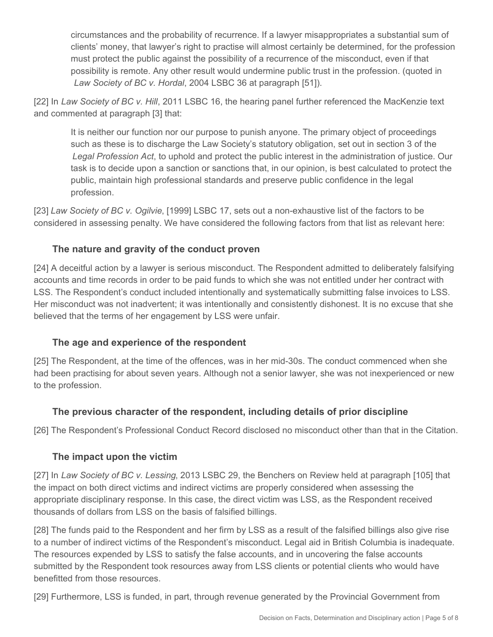circumstances and the probability of recurrence. If a lawyer misappropriates a substantial sum of clients' money, that lawyer's right to practise will almost certainly be determined, for the profession must protect the public against the possibility of a recurrence of the misconduct, even if that possibility is remote. Any other result would undermine public trust in the profession. (quoted in *Law Society of BC v. Hordal*, 2004 LSBC 36 at paragraph [51]).

[22] In *Law Society of BC v. Hill*, 2011 LSBC 16, the hearing panel further referenced the MacKenzie text and commented at paragraph [3] that:

It is neither our function nor our purpose to punish anyone. The primary object of proceedings such as these is to discharge the Law Society's statutory obligation, set out in section 3 of the *Legal Profession Act*, to uphold and protect the public interest in the administration of justice. Our task is to decide upon a sanction or sanctions that, in our opinion, is best calculated to protect the public, maintain high professional standards and preserve public confidence in the legal profession.

[23] *Law Society of BC v. Ogilvie*, [1999] LSBC 17, sets out a non-exhaustive list of the factors to be considered in assessing penalty. We have considered the following factors from that list as relevant here:

## **The nature and gravity of the conduct proven**

[24] A deceitful action by a lawyer is serious misconduct. The Respondent admitted to deliberately falsifying accounts and time records in order to be paid funds to which she was not entitled under her contract with LSS. The Respondent's conduct included intentionally and systematically submitting false invoices to LSS. Her misconduct was not inadvertent; it was intentionally and consistently dishonest. It is no excuse that she believed that the terms of her engagement by LSS were unfair.

#### **The age and experience of the respondent**

[25] The Respondent, at the time of the offences, was in her mid-30s. The conduct commenced when she had been practising for about seven years. Although not a senior lawyer, she was not inexperienced or new to the profession.

#### **The previous character of the respondent, including details of prior discipline**

[26] The Respondent's Professional Conduct Record disclosed no misconduct other than that in the Citation.

#### **The impact upon the victim**

[27] In *Law Society of BC v. Lessing*, 2013 LSBC 29, the Benchers on Review held at paragraph [105] that the impact on both direct victims and indirect victims are properly considered when assessing the appropriate disciplinary response. In this case, the direct victim was LSS, as the Respondent received thousands of dollars from LSS on the basis of falsified billings.

[28] The funds paid to the Respondent and her firm by LSS as a result of the falsified billings also give rise to a number of indirect victims of the Respondent's misconduct. Legal aid in British Columbia is inadequate. The resources expended by LSS to satisfy the false accounts, and in uncovering the false accounts submitted by the Respondent took resources away from LSS clients or potential clients who would have benefitted from those resources.

[29] Furthermore, LSS is funded, in part, through revenue generated by the Provincial Government from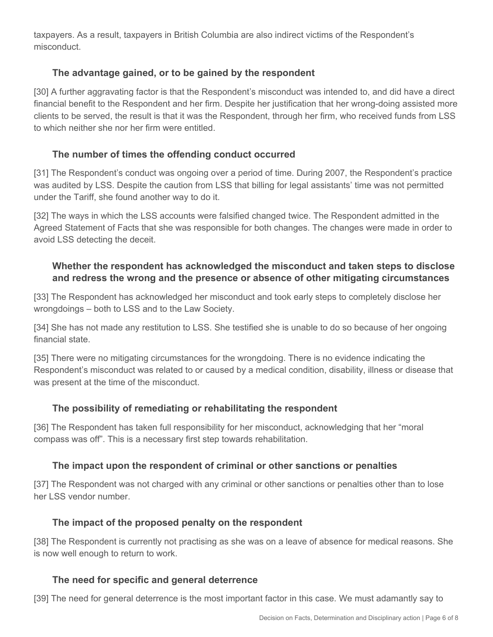taxpayers. As a result, taxpayers in British Columbia are also indirect victims of the Respondent's misconduct.

## **The advantage gained, or to be gained by the respondent**

[30] A further aggravating factor is that the Respondent's misconduct was intended to, and did have a direct financial benefit to the Respondent and her firm. Despite her justification that her wrong-doing assisted more clients to be served, the result is that it was the Respondent, through her firm, who received funds from LSS to which neither she nor her firm were entitled.

#### **The number of times the offending conduct occurred**

[31] The Respondent's conduct was ongoing over a period of time. During 2007, the Respondent's practice was audited by LSS. Despite the caution from LSS that billing for legal assistants' time was not permitted under the Tariff, she found another way to do it.

[32] The ways in which the LSS accounts were falsified changed twice. The Respondent admitted in the Agreed Statement of Facts that she was responsible for both changes. The changes were made in order to avoid LSS detecting the deceit.

#### **Whether the respondent has acknowledged the misconduct and taken steps to disclose and redress the wrong and the presence or absence of other mitigating circumstances**

[33] The Respondent has acknowledged her misconduct and took early steps to completely disclose her wrongdoings – both to LSS and to the Law Society.

[34] She has not made any restitution to LSS. She testified she is unable to do so because of her ongoing financial state.

[35] There were no mitigating circumstances for the wrongdoing. There is no evidence indicating the Respondent's misconduct was related to or caused by a medical condition, disability, illness or disease that was present at the time of the misconduct.

#### **The possibility of remediating or rehabilitating the respondent**

[36] The Respondent has taken full responsibility for her misconduct, acknowledging that her "moral compass was off". This is a necessary first step towards rehabilitation.

#### **The impact upon the respondent of criminal or other sanctions or penalties**

[37] The Respondent was not charged with any criminal or other sanctions or penalties other than to lose her LSS vendor number.

#### **The impact of the proposed penalty on the respondent**

[38] The Respondent is currently not practising as she was on a leave of absence for medical reasons. She is now well enough to return to work.

#### **The need for specific and general deterrence**

[39] The need for general deterrence is the most important factor in this case. We must adamantly say to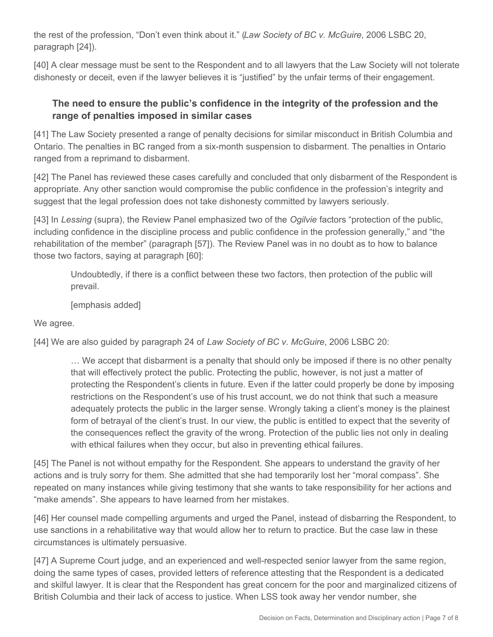the rest of the profession, "Don't even think about it." (*Law Society of BC v. McGuire*, 2006 LSBC 20, paragraph [24]).

[40] A clear message must be sent to the Respondent and to all lawyers that the Law Society will not tolerate dishonesty or deceit, even if the lawyer believes it is "justified" by the unfair terms of their engagement.

#### **The need to ensure the public's confidence in the integrity of the profession and the range of penalties imposed in similar cases**

[41] The Law Society presented a range of penalty decisions for similar misconduct in British Columbia and Ontario. The penalties in BC ranged from a six-month suspension to disbarment. The penalties in Ontario ranged from a reprimand to disbarment.

[42] The Panel has reviewed these cases carefully and concluded that only disbarment of the Respondent is appropriate. Any other sanction would compromise the public confidence in the profession's integrity and suggest that the legal profession does not take dishonesty committed by lawyers seriously.

[43] In *Lessing* (supra), the Review Panel emphasized two of the *Ogilvie* factors "protection of the public, including confidence in the discipline process and public confidence in the profession generally," and "the rehabilitation of the member" (paragraph [57]). The Review Panel was in no doubt as to how to balance those two factors, saying at paragraph [60]:

Undoubtedly, if there is a conflict between these two factors, then protection of the public will prevail.

[emphasis added]

We agree.

[44] We are also guided by paragraph 24 of *Law Society of BC v. McGuire*, 2006 LSBC 20:

… We accept that disbarment is a penalty that should only be imposed if there is no other penalty that will effectively protect the public. Protecting the public, however, is not just a matter of protecting the Respondent's clients in future. Even if the latter could properly be done by imposing restrictions on the Respondent's use of his trust account, we do not think that such a measure adequately protects the public in the larger sense. Wrongly taking a client's money is the plainest form of betrayal of the client's trust. In our view, the public is entitled to expect that the severity of the consequences reflect the gravity of the wrong. Protection of the public lies not only in dealing with ethical failures when they occur, but also in preventing ethical failures.

[45] The Panel is not without empathy for the Respondent. She appears to understand the gravity of her actions and is truly sorry for them. She admitted that she had temporarily lost her "moral compass". She repeated on many instances while giving testimony that she wants to take responsibility for her actions and "make amends". She appears to have learned from her mistakes.

[46] Her counsel made compelling arguments and urged the Panel, instead of disbarring the Respondent, to use sanctions in a rehabilitative way that would allow her to return to practice. But the case law in these circumstances is ultimately persuasive.

[47] A Supreme Court judge, and an experienced and well-respected senior lawyer from the same region, doing the same types of cases, provided letters of reference attesting that the Respondent is a dedicated and skilful lawyer. It is clear that the Respondent has great concern for the poor and marginalized citizens of British Columbia and their lack of access to justice. When LSS took away her vendor number, she